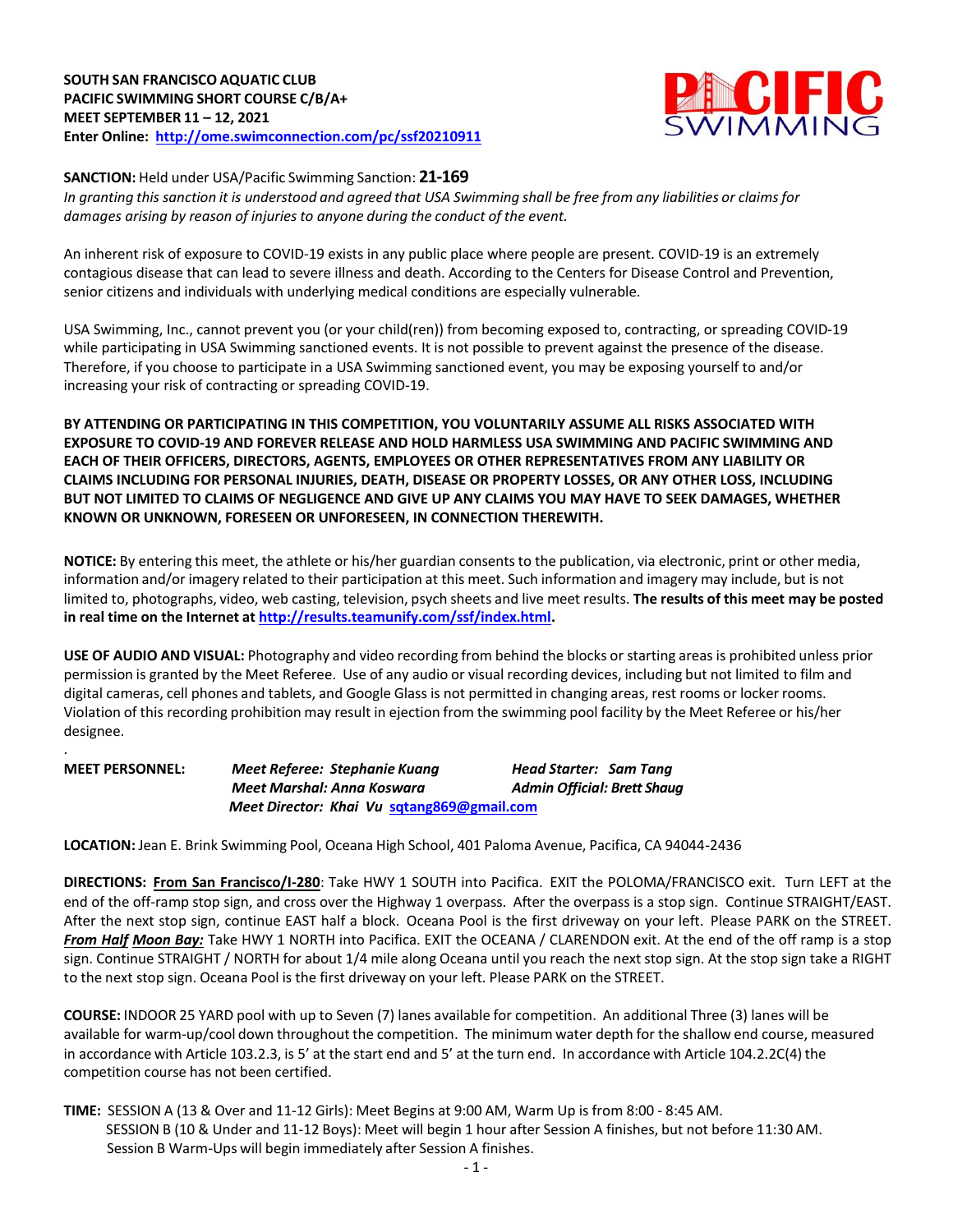## **SOUTH SAN FRANCISCO AQUATIC CLUB PACIFIC SWIMMING SHORT COURSE C/B/A+ MEET SEPTEMBER 11 – 12, 2021 Enter Online: http://ome.swimconnection.com/pc/ssf20210911**



## **SANCTION:** Held under USA/Pacific Swimming Sanction: **21-169**

.

In granting this sanction it is understood and agreed that USA Swimming shall be free from any liabilities or claims for *damages arising by reason of injuriesto anyone during the conduct of the event.*

An inherent risk of exposure to COVID-19 exists in any public place where people are present. COVID-19 is an extremely contagious disease that can lead to severe illness and death. According to the Centers for Disease Control and Prevention, senior citizens and individuals with underlying medical conditions are especially vulnerable.

USA Swimming, Inc., cannot prevent you (or your child(ren)) from becoming exposed to, contracting, or spreading COVID-19 while participating in USA Swimming sanctioned events. It is not possible to prevent against the presence of the disease. Therefore, if you choose to participate in a USA Swimming sanctioned event, you may be exposing yourself to and/or increasing your risk of contracting or spreading COVID-19.

**BY ATTENDING OR PARTICIPATING IN THIS COMPETITION, YOU VOLUNTARILY ASSUME ALL RISKS ASSOCIATED WITH EXPOSURE TO COVID-19 AND FOREVER RELEASE AND HOLD HARMLESS USA SWIMMING AND PACIFIC SWIMMING AND EACH OF THEIR OFFICERS, DIRECTORS, AGENTS, EMPLOYEES OR OTHER REPRESENTATIVES FROM ANY LIABILITY OR CLAIMS INCLUDING FOR PERSONAL INJURIES, DEATH, DISEASE OR PROPERTY LOSSES, OR ANY OTHER LOSS, INCLUDING BUT NOT LIMITED TO CLAIMS OF NEGLIGENCE AND GIVE UP ANY CLAIMS YOU MAY HAVE TO SEEK DAMAGES, WHETHER KNOWN OR UNKNOWN, FORESEEN OR UNFORESEEN, IN CONNECTION THEREWITH.**

**NOTICE:** By entering this meet, the athlete or his/her guardian consents to the publication, via electronic, print or other media, information and/or imagery related to their participation at this meet. Such information and imagery may include, but is not limited to, photographs, video, web casting, television, psych sheets and live meet results. **The results of this meet may be posted in real time on the Internet at http://results.teamunify.com/ssf/index.html.**

**USE OF AUDIO AND VISUAL:** Photography and video recording from behind the blocks or starting areas is prohibited unless prior permission is granted by the Meet Referee. Use of any audio or visual recording devices, including but not limited to film and digital cameras, cell phones and tablets, and Google Glass is not permitted in changing areas, rest rooms or locker rooms. Violation of this recording prohibition may result in ejection from the swimming pool facility by the Meet Referee or his/her designee.

**MEET PERSONNEL:** *Meet Referee: Stephanie Kuang Head Starter: Sam Tang Meet Marshal: Anna Koswara Admin Official: Brett Shaug* *Meet Director: Khai Vu* **sqtang869@gmail.com**

**LOCATION:** Jean E. Brink Swimming Pool, Oceana High School, 401 Paloma Avenue, Pacifica, CA 94044-2436

**DIRECTIONS: From San Francisco/I-280**: Take HWY 1 SOUTH into Pacifica. EXIT the POLOMA/FRANCISCO exit. Turn LEFT at the end of the off-ramp stop sign, and cross over the Highway 1 overpass. After the overpass is a stop sign. Continue STRAIGHT/EAST. After the next stop sign, continue EAST half a block. Oceana Pool is the first driveway on your left. Please PARK on the STREET. *From Half Moon Bay:* Take HWY 1 NORTH into Pacifica. EXIT the OCEANA / CLARENDON exit. At the end of the off ramp is a stop sign. Continue STRAIGHT / NORTH for about 1/4 mile along Oceana until you reach the next stop sign. At the stop sign take a RIGHT to the next stop sign. Oceana Pool is the first driveway on your left. Please PARK on the STREET.

**COURSE:** INDOOR 25 YARD pool with up to Seven (7) lanes available for competition. An additional Three (3) lanes will be available for warm-up/cool down throughout the competition. The minimum water depth for the shallow end course, measured in accordance with Article 103.2.3, is 5' at the start end and 5' at the turn end. In accordance with Article 104.2.2C(4) the competition course has not been certified.

**TIME:** SESSION A (13 & Over and 11-12 Girls): Meet Begins at 9:00 AM, Warm Up is from 8:00 - 8:45 AM. SESSION B (10 & Under and 11-12 Boys): Meet will begin 1 hour after Session A finishes, but not before 11:30 AM. Session B Warm-Ups will begin immediately after Session A finishes.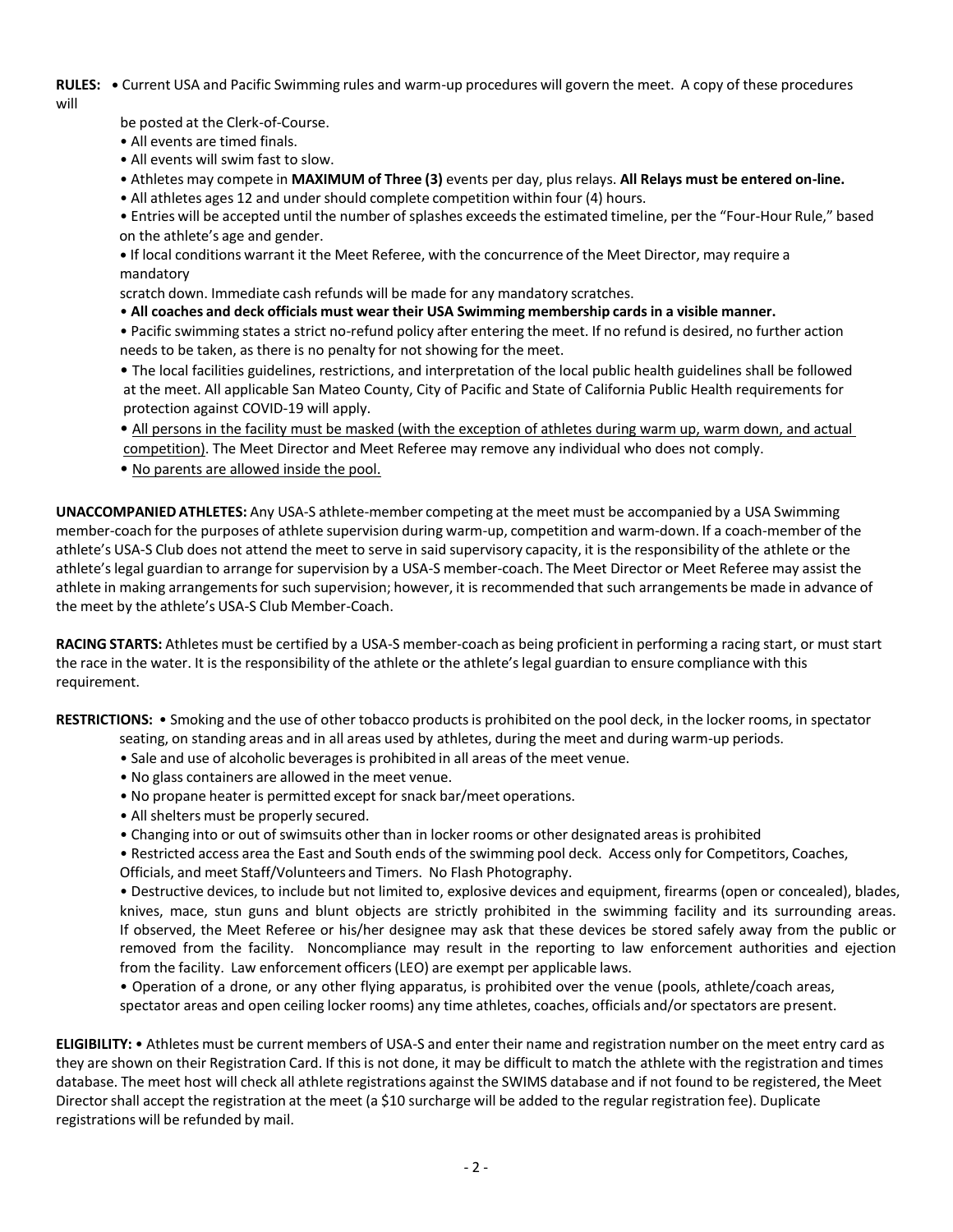**RULES: •** Current USA and Pacific Swimming rules and warm-up procedures will govern the meet. A copy of these procedures will

be posted at the Clerk-of-Course.

- All events are timed finals.
- All events will swim fast to slow.

• Athletes may compete in **MAXIMUM of Three (3)** events per day, plus relays. **All Relays must be entered on-line.**

• All athletes ages 12 and under should complete competition within four (4) hours.

• Entries will be accepted until the number of splashes exceedsthe estimated timeline, per the "Four-Hour Rule," based on the athlete's age and gender.

**•** If local conditions warrant it the Meet Referee, with the concurrence of the Meet Director, may require a mandatory

scratch down. Immediate cash refunds will be made for any mandatory scratches.

• **All coaches and deck officials must wear their USA Swimming membership cards in a visible manner.**

• Pacific swimming states a strict no-refund policy after entering the meet. If no refund is desired, no further action needs to be taken, as there is no penalty for not showing for the meet.

• The local facilities guidelines, restrictions, and interpretation of the local public health guidelines shall be followed at the meet. All applicable San Mateo County, City of Pacific and State of California Public Health requirements for protection against COVID-19 will apply.

- All persons in the facility must be masked (with the exception of athletes during warm up, warm down, and actual competition). The Meet Director and Meet Referee may remove any individual who does not comply.
- No parents are allowed inside the pool.

**UNACCOMPANIED ATHLETES:** Any USA-S athlete-member competing at the meet must be accompanied by a USA Swimming member-coach for the purposes of athlete supervision during warm-up, competition and warm-down. If a coach-member of the athlete's USA-S Club does not attend the meet to serve in said supervisory capacity, it is the responsibility of the athlete or the athlete's legal guardian to arrange for supervision by a USA-S member-coach. The Meet Director or Meet Referee may assist the athlete in making arrangements for such supervision; however, it is recommended that such arrangements be made in advance of the meet by the athlete's USA-S Club Member-Coach.

**RACING STARTS:** Athletes must be certified by a USA-S member-coach as being proficient in performing a racing start, or must start the race in the water. It is the responsibility of the athlete or the athlete'slegal guardian to ensure compliance with this requirement.

**RESTRICTIONS:** • Smoking and the use of other tobacco productsis prohibited on the pool deck, in the locker rooms, in spectator

- seating, on standing areas and in all areas used by athletes, during the meet and during warm-up periods.
- Sale and use of alcoholic beveragesis prohibited in all areas of the meet venue.
- No glass containers are allowed in the meet venue.
- No propane heater is permitted except for snack bar/meet operations.
- All shelters must be properly secured.
- Changing into or out of swimsuits other than in locker rooms or other designated areas is prohibited

• Restricted access area the East and South ends of the swimming pool deck. Access only for Competitors, Coaches,

Officials, and meet Staff/Volunteers and Timers. No Flash Photography.

• Destructive devices, to include but not limited to, explosive devices and equipment, firearms (open or concealed), blades, knives, mace, stun guns and blunt objects are strictly prohibited in the swimming facility and its surrounding areas. If observed, the Meet Referee or his/her designee may ask that these devices be stored safely away from the public or removed from the facility. Noncompliance may result in the reporting to law enforcement authorities and ejection from the facility. Law enforcement officers(LEO) are exempt per applicable laws.

• Operation of a drone, or any other flying apparatus, is prohibited over the venue (pools, athlete/coach areas, spectator areas and open ceiling locker rooms) any time athletes, coaches, officials and/orspectators are present.

**ELIGIBILITY:** • Athletes must be current members of USA-S and enter their name and registration number on the meet entry card as they are shown on their Registration Card. If this is not done, it may be difficult to match the athlete with the registration and times database. The meet host will check all athlete registrations against the SWIMS database and if not found to be registered, the Meet Director shall accept the registration at the meet (a \$10 surcharge will be added to the regular registration fee). Duplicate registrations will be refunded by mail.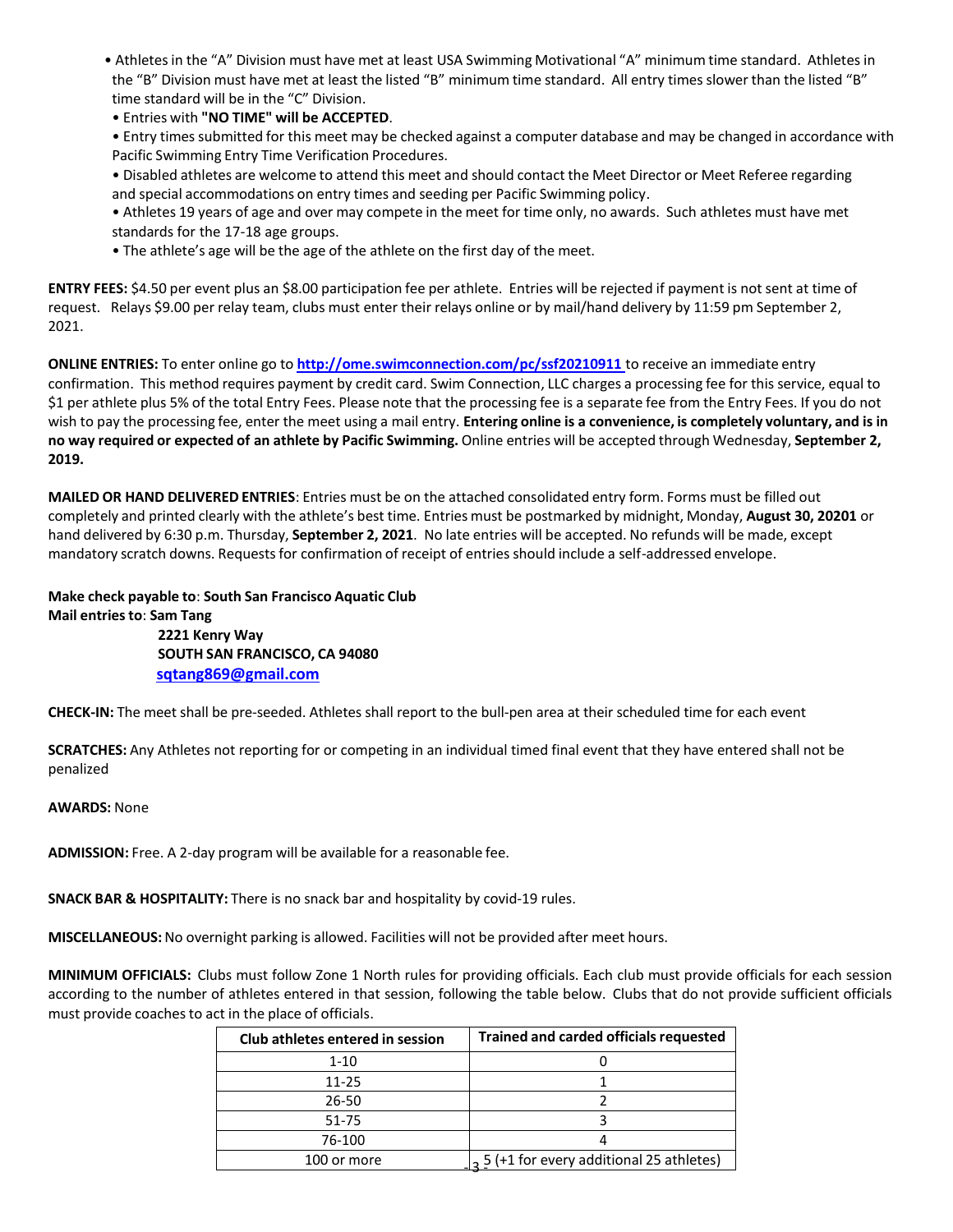- Athletesin the "A" Division must have met at least USA Swimming Motivational "A" minimum time standard. Athletes in the "B" Division must have met at least the listed "B" minimum time standard. All entry times slower than the listed "B" time standard will be in the "C" Division.
- Entries with **"NO TIME" will be ACCEPTED**.
- Entry times submitted for this meet may be checked against a computer database and may be changed in accordance with Pacific Swimming Entry Time Verification Procedures.
- Disabled athletes are welcome to attend this meet and should contact the Meet Director or Meet Referee regarding and special accommodations on entry times and seeding per Pacific Swimming policy.
- Athletes 19 years of age and over may compete in the meet for time only, no awards. Such athletes must have met standards for the 17-18 age groups.
- The athlete's age will be the age of the athlete on the first day of the meet.

**ENTRY FEES:** \$4.50 per event plus an \$8.00 participation fee per athlete. Entries will be rejected if payment is not sent at time of request. Relays \$9.00 per relay team, clubs must enter their relays online or by mail/hand delivery by 11:59 pm September 2, 2021.

**ONLINE ENTRIES:** To enter online go to **http://ome.swimconnection.com/pc/ssf20210911** to receive an immediate entry confirmation. This method requires payment by credit card. Swim Connection, LLC charges a processing fee for this service, equal to \$1 per athlete plus 5% of the total Entry Fees. Please note that the processing fee is a separate fee from the Entry Fees. If you do not wish to pay the processing fee, enter the meet using a mail entry. **Entering online is a convenience, is completely voluntary, and is in no way required or expected of an athlete by Pacific Swimming.** Online entries will be accepted through Wednesday, **September 2, 2019.**

**MAILED OR HAND DELIVERED ENTRIES**: Entries must be on the attached consolidated entry form. Forms must be filled out completely and printed clearly with the athlete's best time. Entries must be postmarked by midnight, Monday, **August 30, 20201** or hand delivered by 6:30 p.m. Thursday, **September 2, 2021**. No late entries will be accepted. No refunds will be made, except mandatory scratch downs. Requestsfor confirmation of receipt of entriesshould include a self-addressed envelope.

# **Make check payable to**: **South San Francisco Aquatic Club Mail entriesto**: **Sam Tang**

**2221 Kenry Way SOUTH SAN FRANCISCO, CA 94080 sqtang869@gmail.com**

**CHECK-IN:** The meet shall be pre-seeded. Athletes shall report to the bull-pen area at their scheduled time for each event

**SCRATCHES:** Any Athletes not reporting for or competing in an individual timed final event that they have entered shall not be penalized

#### **AWARDS:** None

**ADMISSION:** Free. A 2-day program will be available for a reasonable fee.

**SNACK BAR & HOSPITALITY:** There is no snack bar and hospitality by covid-19 rules.

**MISCELLANEOUS:**No overnight parking is allowed. Facilities will not be provided after meet hours.

**MINIMUM OFFICIALS:** Clubs must follow Zone 1 North rules for providing officials. Each club must provide officials for each session according to the number of athletes entered in that session, following the table below. Clubs that do not provide sufficient officials must provide coaches to act in the place of officials.

| Club athletes entered in session | <b>Trained and carded officials requested</b>         |  |  |
|----------------------------------|-------------------------------------------------------|--|--|
| $1 - 10$                         |                                                       |  |  |
| 11-25                            |                                                       |  |  |
| 26-50                            |                                                       |  |  |
| 51-75                            |                                                       |  |  |
| 76-100                           |                                                       |  |  |
| 100 or more                      | $\frac{1}{2}$ 5 (+1 for every additional 25 athletes) |  |  |
|                                  |                                                       |  |  |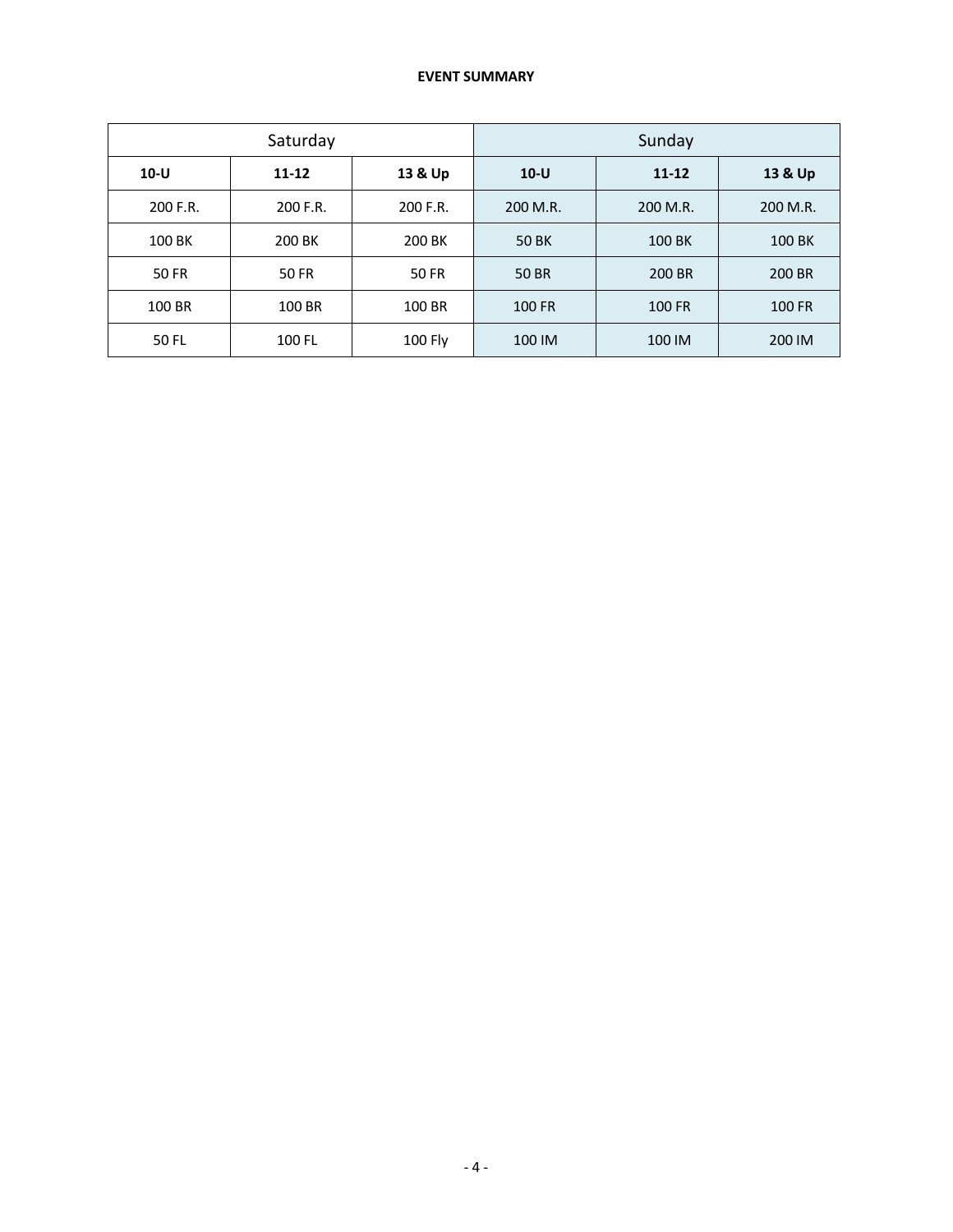# **EVENT SUMMARY**

| Saturday |              | Sunday       |               |           |               |
|----------|--------------|--------------|---------------|-----------|---------------|
| $10-U$   | $11 - 12$    | 13 & Up      | $10-U$        | $11 - 12$ | 13 & Up       |
| 200 F.R. | 200 F.R.     | 200 F.R.     | 200 M.R.      | 200 M.R.  | 200 M.R.      |
| 100 BK   | 200 BK       | 200 BK       | <b>50 BK</b>  | 100 BK    | 100 BK        |
| 50 FR    | <b>50 FR</b> | <b>50 FR</b> | 50 BR         | 200 BR    | 200 BR        |
| 100 BR   | 100 BR       | 100 BR       | <b>100 FR</b> | 100 FR    | <b>100 FR</b> |
| 50 FL    | 100 FL       | 100 Fly      | 100 IM        | 100 IM    | 200 IM        |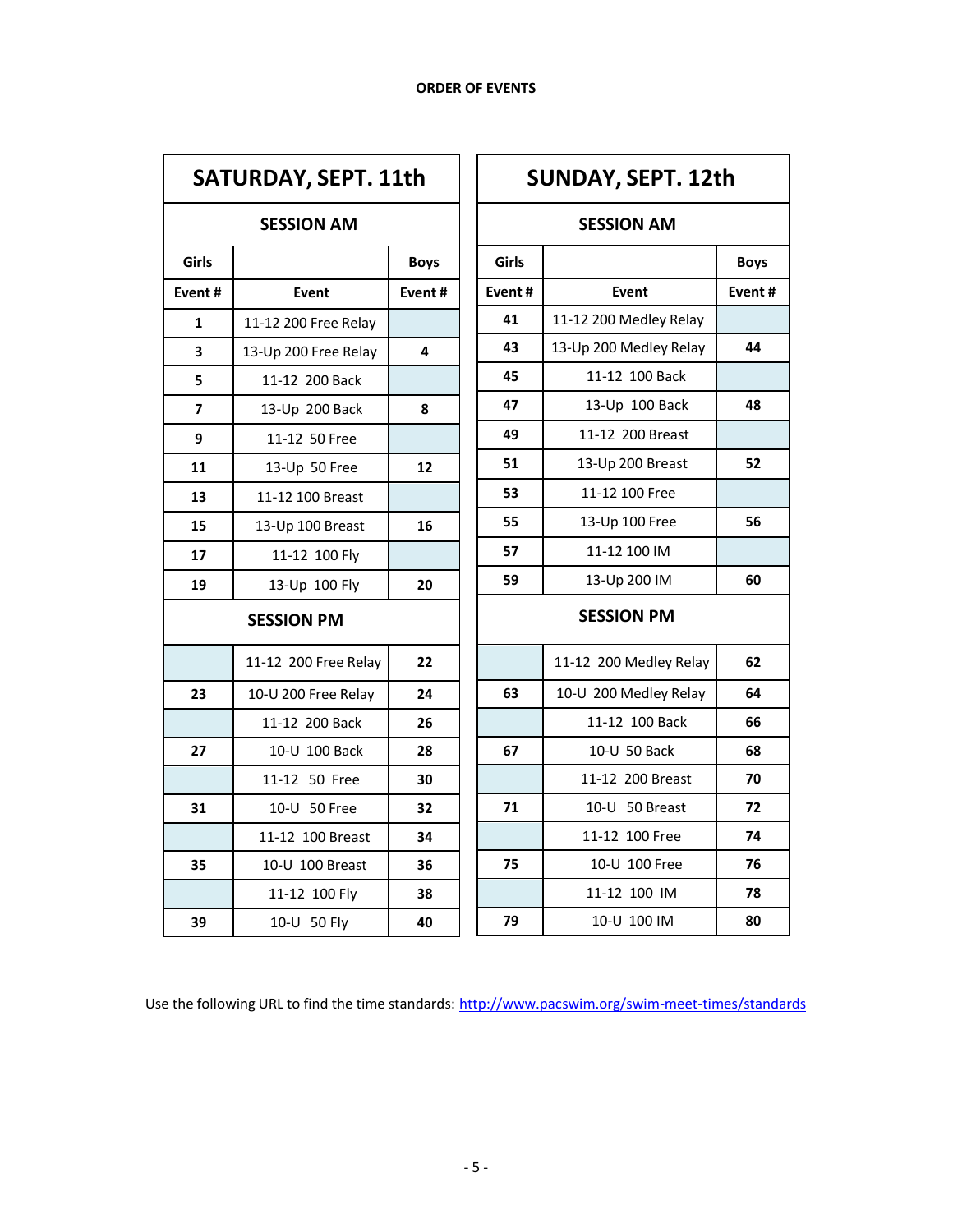| SATURDAY, SEPT. 11th |                      |             |  |
|----------------------|----------------------|-------------|--|
| <b>SESSION AM</b>    |                      |             |  |
| Girls                |                      | <b>Boys</b> |  |
| Event#               | <b>Event</b>         | Event#      |  |
| 1                    | 11-12 200 Free Relay |             |  |
| 3                    | 13-Up 200 Free Relay | 4           |  |
| 5                    | 11-12 200 Back       |             |  |
| 7                    | 13-Up 200 Back       | 8           |  |
| 9                    | 11-12 50 Free        |             |  |
| 11                   | 13-Up 50 Free        | 12          |  |
| 13                   | 11-12 100 Breast     |             |  |
| 15                   | 13-Up 100 Breast     | 16          |  |
| 17                   | 11-12 100 Fly        |             |  |
| 19                   | 13-Up 100 Fly        | 20          |  |
| <b>SESSION PM</b>    |                      |             |  |
|                      | 11-12 200 Free Relay | 22          |  |
| 23                   | 10-U 200 Free Relay  | 24          |  |
|                      | 11-12 200 Back       | 26          |  |
| 27                   | 10-U 100 Back        | 28          |  |
|                      | 11-12 50 Free        | 30          |  |
| 31                   | 10-U 50 Free         | 32          |  |
|                      | 11-12 100 Breast     | 34          |  |
| 35                   | 10-U 100 Breast      | 36          |  |
|                      | 11-12 100 Flv        | 38          |  |
| 39                   | 10-U 50 Fly          | 40          |  |

| <b>SUNDAY, SEPT. 12th</b> |                        |             |  |
|---------------------------|------------------------|-------------|--|
|                           | <b>SESSION AM</b>      |             |  |
| Girls                     |                        | <b>Boys</b> |  |
| Event#                    | Event                  | Event#      |  |
| 41                        | 11-12 200 Medley Relay |             |  |
| 43                        | 13-Up 200 Medley Relay | 44          |  |
| 45                        | 11-12 100 Back         |             |  |
| 47                        | 13-Up 100 Back         | 48          |  |
| 49                        | 11-12 200 Breast       |             |  |
| 51                        | 13-Up 200 Breast       | 52          |  |
| 53                        | 11-12 100 Free         |             |  |
| 55                        | 13-Up 100 Free         | 56          |  |
| 57                        | 11-12 100 IM           |             |  |
| 59                        | 13-Up 200 IM           | 60          |  |
| <b>SESSION PM</b>         |                        |             |  |
|                           | 11-12 200 Medley Relay | 62          |  |
| 63                        | 10-U 200 Medley Relay  | 64          |  |
|                           | 11-12 100 Back         | 66          |  |
| 67                        | 10-U 50 Back           | 68          |  |
|                           | 11-12 200 Breast       | 70          |  |
| 71                        | 10-U 50 Breast         | 72          |  |
|                           | 11-12 100 Free         | 74          |  |
| 75<br>10-U 100 Free       |                        | 76          |  |
|                           | 78                     |             |  |
| 79                        | 10-U 100 IM            | 80          |  |

Use the following URL to find the time standards: http://www.pacswim.org/swim-meet-times/standards